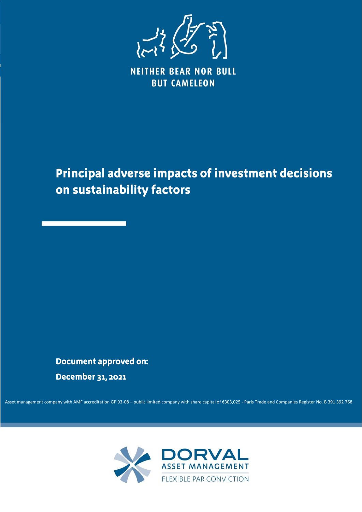

**NEITHER BEAR NOR BULL BUT CAMELEON** 

# **Principal adverse impacts of investment decisions** on sustainability factors

## **Document approved on:**

December 31, 2021

Asset management company with AMF accreditation GP 93-08 - public limited company with share capital of €303,025 - Paris Trade and Companies Register No. B 391 392 768

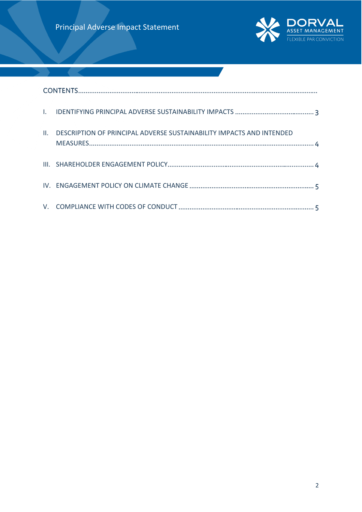

| $\mathbf{H}_{\mathbf{r}}$ | DESCRIPTION OF PRINCIPAL ADVERSE SUSTAINABILITY IMPACTS AND INTENDED |  |
|---------------------------|----------------------------------------------------------------------|--|
|                           |                                                                      |  |
|                           |                                                                      |  |
|                           |                                                                      |  |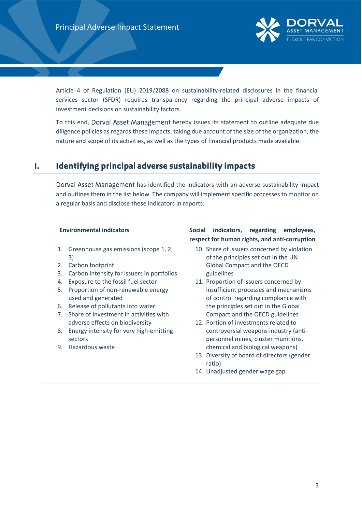

Article 4 of Regulation (EU) 2019/2088 on sustainability-related disclosures in the financial services sector (SFDR) requires transparency regarding the principal adverse impacts of investment decisions on sustainability factors.

To this end, Dorval Asset Management hereby issues its statement to outline adequate due diligence policies as regards these impacts, taking due account of the size of the organization, the nature and scope of its activities, as well as the types of financial products made available.

## <span id="page-2-0"></span>Identifying principal adverse sustainability impacts  $\mathbf{I}$ .

Dorval Asset Management has identified the indicators with an adverse sustainability impact and outlines them in the list below. The company will implement specific processes to monitor on a regular basis and disclose these indicators in reports.

| Greenhouse gas emissions (scope 1, 2,<br>10. Share of issuers concerned by violation<br>1.<br>of the principles set out in the UN<br>3)<br>Global Compact and the OECD<br>Carbon footprint<br>2.<br>Carbon intensity for issuers in portfolios<br>3.<br>guidelines<br>Exposure to the fossil fuel sector<br>11. Proportion of issuers concerned by<br>4.<br>Proportion of non-renewable energy<br>5.<br>insufficient processes and mechanisms<br>used and generated<br>of control regarding compliance with<br>Release of pollutants into water<br>the principles set out in the Global<br>6.<br>7 <sup>1</sup><br>Share of investment in activities with<br>Compact and the OECD guidelines<br>12. Portion of investments related to<br>adverse effects on biodiversity<br>Energy intensity for very high-emitting<br>controversial weapons industry (anti-<br>8.<br>personnel mines, cluster munitions,<br>sectors<br>Hazardous waste<br>chemical and biological weapons)<br>9.<br>13. Diversity of board of directors (gender<br>ratio) | <b>Environmental indicators</b> | indicators, regarding<br><b>Social</b><br>employees,<br>respect for human rights, and anti-corruption |
|--------------------------------------------------------------------------------------------------------------------------------------------------------------------------------------------------------------------------------------------------------------------------------------------------------------------------------------------------------------------------------------------------------------------------------------------------------------------------------------------------------------------------------------------------------------------------------------------------------------------------------------------------------------------------------------------------------------------------------------------------------------------------------------------------------------------------------------------------------------------------------------------------------------------------------------------------------------------------------------------------------------------------------------------|---------------------------------|-------------------------------------------------------------------------------------------------------|
| 14. Unadjusted gender wage gap                                                                                                                                                                                                                                                                                                                                                                                                                                                                                                                                                                                                                                                                                                                                                                                                                                                                                                                                                                                                             |                                 |                                                                                                       |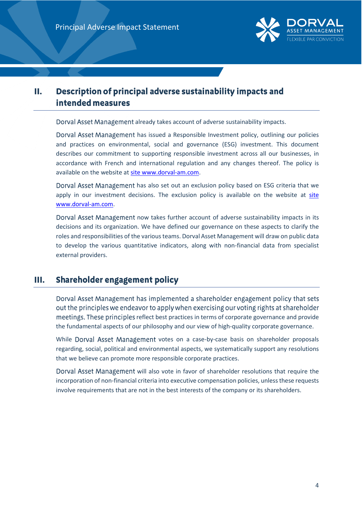

## <span id="page-3-0"></span>Description of principal adverse sustainability impacts and П. intended measures

Dorval Asset Management already takes account of adverse sustainability impacts.

Dorval Asset Management has issued a Responsible Investment policy, outlining our policies and practices on environmental, social and governance (ESG) investment. This document describes our commitment to supporting responsible investment across all our businesses, in accordance with French and international regulation and any changes thereof. The policy is available on the website at site www.dorval-am.com.

Dorval Asset Management has also set out an exclusion policy based on ESG criteria that we apply in our investment decisions. The exclusion policy is available on the website at site www.dorval-am.com.

Dorval Asset Management now takes further account of adverse sustainability impacts in its decisions and its organization. We have defined our governance on these aspects to clarify the roles and responsibilities of the various teams. Dorval Asset Management will draw on public data to develop the various quantitative indicators, along with non-financial data from specialist external providers.

## <span id="page-3-1"></span>Shareholder engagement policy Ш.

Dorval Asset Management has implemented a shareholder engagement policy that sets out the principles we endeavor to apply when exercising our voting rights at shareholder meetings. These principles reflect best practices in terms of corporate governance and provide the fundamental aspects of our philosophy and our view of high-quality corporate governance.

While Dorval Asset Management votes on a case-by-case basis on shareholder proposals regarding, social, political and environmental aspects, we systematically support any resolutions that we believe can promote more responsible corporate practices.

Dorval Asset Management will also vote in favor of shareholder resolutions that require the incorporation of non-financial criteria into executive compensation policies, unless these requests involve requirements that are not in the best interests of the company or its shareholders.